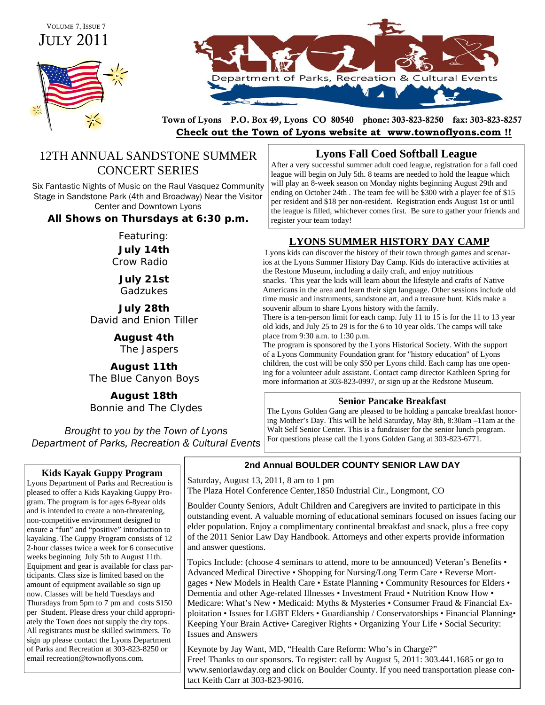# JULY 2011 VOLUME 7, ISSUE 7





Town of Lyons P.O. Box 49, Lyons CO 80540 phone: 303-823-8250 fax: 303-823-8257 **Check out the Town of Lyons website at www.townoflyons.com !!**

# 12TH ANNUAL SANDSTONE SUMMER CONCERT SERIES

Six Fantastic Nights of Music on the Raul Vasquez Community Stage in Sandstone Park (4th and Broadway) Near the Visitor Center and Downtown Lyons

## **All Shows on Thursdays at 6:30 p.m.**

Featuring:

**July 14th**  Crow Radio

> **July 21st**  Gadzukes

**July 28th**  David and Enion Tiller

> **August 4th**  The Jaspers

**August 11th**  The Blue Canyon Boys

**August 18th**  Bonnie and The Clydes

*Brought to you by the Town of Lyons Department of Parks, Recreation & Cultural Events* 

## **Kids Kayak Guppy Program**

Lyons Department of Parks and Recreation is pleased to offer a Kids Kayaking Guppy Program. The program is for ages 6-8year olds and is intended to create a non-threatening, non-competitive environment designed to ensure a "fun" and "positive" introduction to kayaking. The Guppy Program consists of 12 2-hour classes twice a week for 6 consecutive weeks beginning July 5th to August 11th. Equipment and gear is available for class participants. Class size is limited based on the amount of equipment available so sign up now. Classes will be held Tuesdays and Thursdays from 5pm to 7 pm and costs \$150 per Student. Please dress your child appropriately the Town does not supply the dry tops. All registrants must be skilled swimmers. To sign up please contact the Lyons Department of Parks and Recreation at 303-823-8250 or email recreation@townoflyons.com.

# **Lyons Fall Coed Softball League**

After a very successful summer adult coed league, registration for a fall coed league will begin on July 5th. 8 teams are needed to hold the league which will play an 8-week season on Monday nights beginning August 29th and ending on October 24th . The team fee will be \$300 with a player fee of \$15 per resident and \$18 per non-resident. Registration ends August 1st or until the league is filled, whichever comes first. Be sure to gather your friends and register your team today!

# **LYONS SUMMER HISTORY DAY CAMP**

Lyons kids can discover the history of their town through games and scenarios at the Lyons Summer History Day Camp. Kids do interactive activities at the Restone Museum, including a daily craft, and enjoy nutritious snacks. This year the kids will learn about the lifestyle and crafts of Native Americans in the area and learn their sign language. Other sessions include old time music and instruments, sandstone art, and a treasure hunt. Kids make a souvenir album to share Lyons history with the family.

There is a ten-person limit for each camp. July 11 to 15 is for the 11 to 13 year old kids, and July 25 to 29 is for the 6 to 10 year olds. The camps will take place from 9:30 a.m. to 1:30 p.m.

The program is sponsored by the Lyons Historical Society. With the support of a Lyons Community Foundation grant for "history education" of Lyons children, the cost will be only \$50 per Lyons child. Each camp has one opening for a volunteer adult assistant. Contact camp director Kathleen Spring for more information at 303-823-0997, or sign up at the Redstone Museum.

## **Senior Pancake Breakfast**

The Lyons Golden Gang are pleased to be holding a pancake breakfast honoring Mother's Day. This will be held Saturday, May 8th, 8:30am –11am at the Walt Self Senior Center. This is a fundraiser for the senior lunch program. For questions please call the Lyons Golden Gang at 303-823-6771.

# **2nd Annual BOULDER COUNTY SENIOR LAW DAY**

Saturday, August 13, 2011, 8 am to 1 pm

The Plaza Hotel Conference Center,1850 Industrial Cir., Longmont, CO

Boulder County Seniors, Adult Children and Caregivers are invited to participate in this outstanding event. A valuable morning of educational seminars focused on issues facing our elder population. Enjoy a complimentary continental breakfast and snack, plus a free copy of the 2011 Senior Law Day Handbook. Attorneys and other experts provide information and answer questions.

Topics Include: (choose 4 seminars to attend, more to be announced) Veteran's Benefits • Advanced Medical Directive • Shopping for Nursing/Long Term Care • Reverse Mortgages • New Models in Health Care • Estate Planning • Community Resources for Elders • Dementia and other Age-related Illnesses • Investment Fraud • Nutrition Know How • Medicare: What's New • Medicaid: Myths & Mysteries • Consumer Fraud & Financial Exploitation • Issues for LGBT Elders • Guardianship / Conservatorships • Financial Planning• Keeping Your Brain Active• Caregiver Rights • Organizing Your Life • Social Security: Issues and Answers

Keynote by Jay Want, MD, "Health Care Reform: Who's in Charge?" Free! Thanks to our sponsors. To register: call by August 5, 2011: 303.441.1685 or go to www.seniorlawday.org and click on Boulder County. If you need transportation please contact Keith Carr at 303-823-9016.